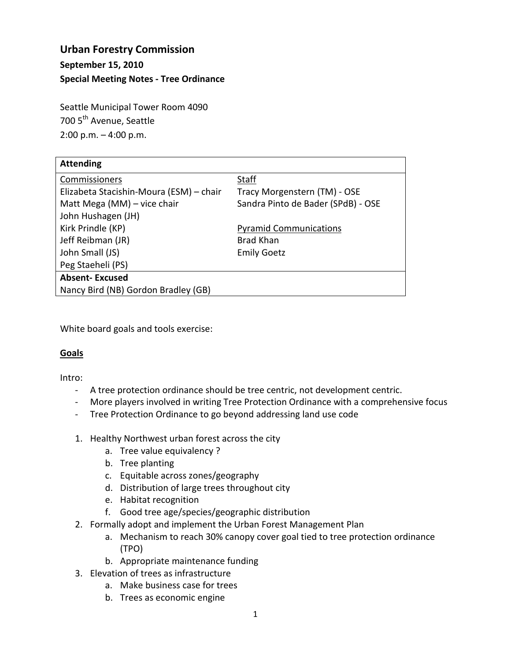# **Urban Forestry Commission September 15, 2010 Special Meeting Notes - Tree Ordinance**

Seattle Municipal Tower Room 4090 700 5<sup>th</sup> Avenue, Seattle  $2:00$  p.m.  $-4:00$  p.m.

| <b>Attending</b>                        |                                    |
|-----------------------------------------|------------------------------------|
| Commissioners                           | <b>Staff</b>                       |
| Elizabeta Stacishin-Moura (ESM) - chair | Tracy Morgenstern (TM) - OSE       |
| Matt Mega (MM) - vice chair             | Sandra Pinto de Bader (SPdB) - OSE |
| John Hushagen (JH)                      |                                    |
| Kirk Prindle (KP)                       | <b>Pyramid Communications</b>      |
| Jeff Reibman (JR)                       | Brad Khan                          |
| John Small (JS)                         | <b>Emily Goetz</b>                 |
| Peg Staeheli (PS)                       |                                    |
| <b>Absent-Excused</b>                   |                                    |
| Nancy Bird (NB) Gordon Bradley (GB)     |                                    |

White board goals and tools exercise:

## **Goals**

Intro:

- A tree protection ordinance should be tree centric, not development centric.
- More players involved in writing Tree Protection Ordinance with a comprehensive focus
- Tree Protection Ordinance to go beyond addressing land use code
- 1. Healthy Northwest urban forest across the city
	- a. Tree value equivalency ?
	- b. Tree planting
	- c. Equitable across zones/geography
	- d. Distribution of large trees throughout city
	- e. Habitat recognition
	- f. Good tree age/species/geographic distribution
- 2. Formally adopt and implement the Urban Forest Management Plan
	- a. Mechanism to reach 30% canopy cover goal tied to tree protection ordinance (TPO)
	- b. Appropriate maintenance funding
- 3. Elevation of trees as infrastructure
	- a. Make business case for trees
	- b. Trees as economic engine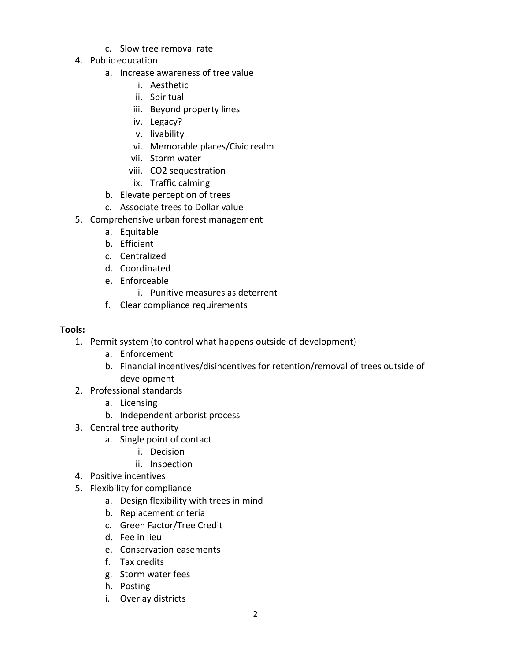- c. Slow tree removal rate
- 4. Public education
	- a. Increase awareness of tree value
		- i. Aesthetic
		- ii. Spiritual
		- iii. Beyond property lines
		- iv. Legacy?
		- v. livability
		- vi. Memorable places/Civic realm
		- vii. Storm water
		- viii. CO2 sequestration
		- ix. Traffic calming
	- b. Elevate perception of trees
	- c. Associate trees to Dollar value
- 5. Comprehensive urban forest management
	- a. Equitable
	- b. Efficient
	- c. Centralized
	- d. Coordinated
	- e. Enforceable
		- i. Punitive measures as deterrent
	- f. Clear compliance requirements

### **Tools:**

- 1. Permit system (to control what happens outside of development)
	- a. Enforcement
	- b. Financial incentives/disincentives for retention/removal of trees outside of development
- 2. Professional standards
	- a. Licensing
	- b. Independent arborist process
- 3. Central tree authority
	- a. Single point of contact
		- i. Decision
		- ii. Inspection
- 4. Positive incentives
- 5. Flexibility for compliance
	- a. Design flexibility with trees in mind
	- b. Replacement criteria
	- c. Green Factor/Tree Credit
	- d. Fee in lieu
	- e. Conservation easements
	- f. Tax credits
	- g. Storm water fees
	- h. Posting
	- i. Overlay districts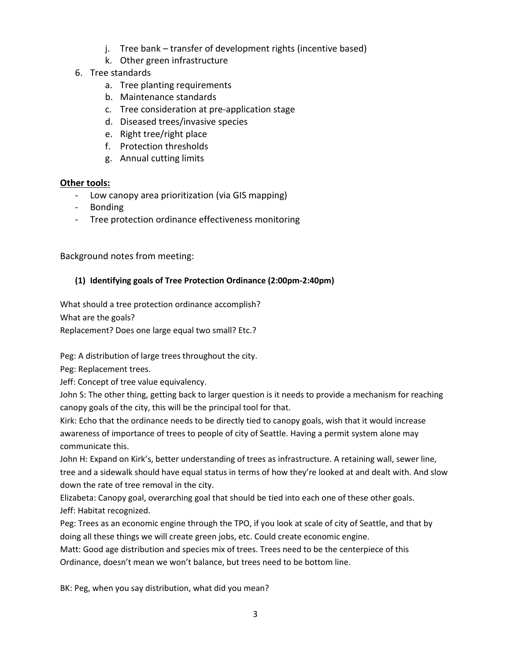- j. Tree bank transfer of development rights (incentive based)
- k. Other green infrastructure
- 6. Tree standards
	- a. Tree planting requirements
	- b. Maintenance standards
	- c. Tree consideration at pre-application stage
	- d. Diseased trees/invasive species
	- e. Right tree/right place
	- f. Protection thresholds
	- g. Annual cutting limits

## **Other tools:**

- Low canopy area prioritization (via GIS mapping)
- Bonding
- Tree protection ordinance effectiveness monitoring

Background notes from meeting:

# **(1) Identifying goals of Tree Protection Ordinance (2:00pm-2:40pm)**

What should a tree protection ordinance accomplish?

What are the goals?

Replacement? Does one large equal two small? Etc.?

Peg: A distribution of large trees throughout the city.

Peg: Replacement trees.

Jeff: Concept of tree value equivalency.

John S: The other thing, getting back to larger question is it needs to provide a mechanism for reaching canopy goals of the city, this will be the principal tool for that.

Kirk: Echo that the ordinance needs to be directly tied to canopy goals, wish that it would increase awareness of importance of trees to people of city of Seattle. Having a permit system alone may communicate this.

John H: Expand on Kirk's, better understanding of trees as infrastructure. A retaining wall, sewer line, tree and a sidewalk should have equal status in terms of how they're looked at and dealt with. And slow down the rate of tree removal in the city.

Elizabeta: Canopy goal, overarching goal that should be tied into each one of these other goals. Jeff: Habitat recognized.

Peg: Trees as an economic engine through the TPO, if you look at scale of city of Seattle, and that by doing all these things we will create green jobs, etc. Could create economic engine.

Matt: Good age distribution and species mix of trees. Trees need to be the centerpiece of this Ordinance, doesn't mean we won't balance, but trees need to be bottom line.

BK: Peg, when you say distribution, what did you mean?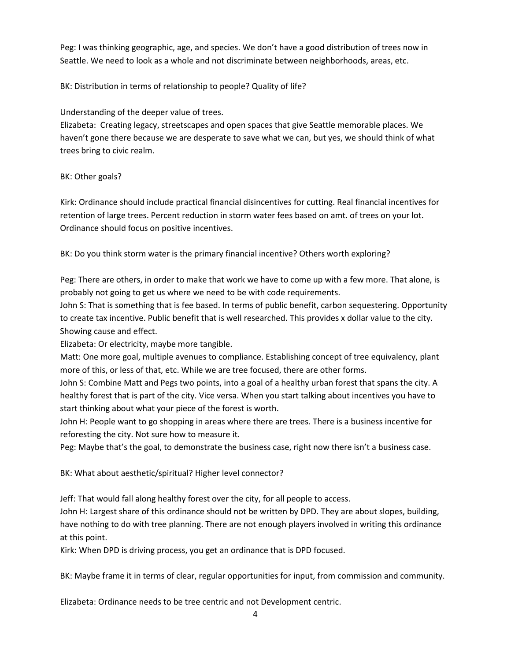Peg: I was thinking geographic, age, and species. We don't have a good distribution of trees now in Seattle. We need to look as a whole and not discriminate between neighborhoods, areas, etc.

BK: Distribution in terms of relationship to people? Quality of life?

Understanding of the deeper value of trees.

Elizabeta: Creating legacy, streetscapes and open spaces that give Seattle memorable places. We haven't gone there because we are desperate to save what we can, but yes, we should think of what trees bring to civic realm.

### BK: Other goals?

Kirk: Ordinance should include practical financial disincentives for cutting. Real financial incentives for retention of large trees. Percent reduction in storm water fees based on amt. of trees on your lot. Ordinance should focus on positive incentives.

BK: Do you think storm water is the primary financial incentive? Others worth exploring?

Peg: There are others, in order to make that work we have to come up with a few more. That alone, is probably not going to get us where we need to be with code requirements.

John S: That is something that is fee based. In terms of public benefit, carbon sequestering. Opportunity to create tax incentive. Public benefit that is well researched. This provides x dollar value to the city. Showing cause and effect.

Elizabeta: Or electricity, maybe more tangible.

Matt: One more goal, multiple avenues to compliance. Establishing concept of tree equivalency, plant more of this, or less of that, etc. While we are tree focused, there are other forms.

John S: Combine Matt and Pegs two points, into a goal of a healthy urban forest that spans the city. A healthy forest that is part of the city. Vice versa. When you start talking about incentives you have to start thinking about what your piece of the forest is worth.

John H: People want to go shopping in areas where there are trees. There is a business incentive for reforesting the city. Not sure how to measure it.

Peg: Maybe that's the goal, to demonstrate the business case, right now there isn't a business case.

BK: What about aesthetic/spiritual? Higher level connector?

Jeff: That would fall along healthy forest over the city, for all people to access.

John H: Largest share of this ordinance should not be written by DPD. They are about slopes, building, have nothing to do with tree planning. There are not enough players involved in writing this ordinance at this point.

Kirk: When DPD is driving process, you get an ordinance that is DPD focused.

BK: Maybe frame it in terms of clear, regular opportunities for input, from commission and community.

Elizabeta: Ordinance needs to be tree centric and not Development centric.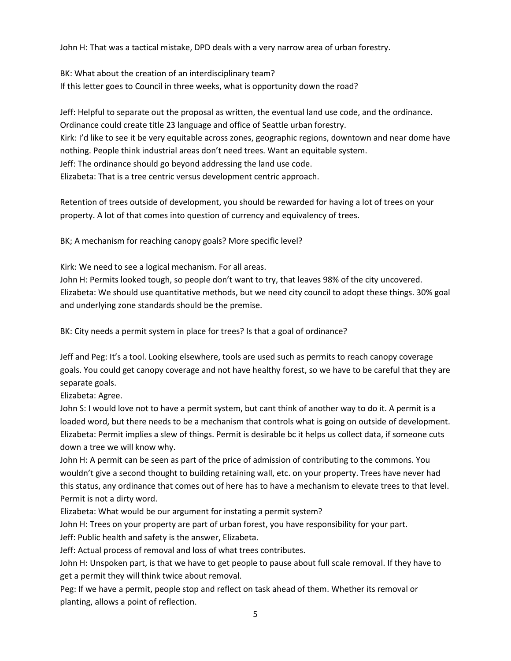John H: That was a tactical mistake, DPD deals with a very narrow area of urban forestry.

BK: What about the creation of an interdisciplinary team? If this letter goes to Council in three weeks, what is opportunity down the road?

Jeff: Helpful to separate out the proposal as written, the eventual land use code, and the ordinance. Ordinance could create title 23 language and office of Seattle urban forestry. Kirk: I'd like to see it be very equitable across zones, geographic regions, downtown and near dome have nothing. People think industrial areas don't need trees. Want an equitable system. Jeff: The ordinance should go beyond addressing the land use code. Elizabeta: That is a tree centric versus development centric approach.

Retention of trees outside of development, you should be rewarded for having a lot of trees on your property. A lot of that comes into question of currency and equivalency of trees.

BK; A mechanism for reaching canopy goals? More specific level?

Kirk: We need to see a logical mechanism. For all areas.

John H: Permits looked tough, so people don't want to try, that leaves 98% of the city uncovered. Elizabeta: We should use quantitative methods, but we need city council to adopt these things. 30% goal and underlying zone standards should be the premise.

BK: City needs a permit system in place for trees? Is that a goal of ordinance?

Jeff and Peg: It's a tool. Looking elsewhere, tools are used such as permits to reach canopy coverage goals. You could get canopy coverage and not have healthy forest, so we have to be careful that they are separate goals.

Elizabeta: Agree.

John S: I would love not to have a permit system, but cant think of another way to do it. A permit is a loaded word, but there needs to be a mechanism that controls what is going on outside of development. Elizabeta: Permit implies a slew of things. Permit is desirable bc it helps us collect data, if someone cuts down a tree we will know why.

John H: A permit can be seen as part of the price of admission of contributing to the commons. You wouldn't give a second thought to building retaining wall, etc. on your property. Trees have never had this status, any ordinance that comes out of here has to have a mechanism to elevate trees to that level. Permit is not a dirty word.

Elizabeta: What would be our argument for instating a permit system?

John H: Trees on your property are part of urban forest, you have responsibility for your part.

Jeff: Public health and safety is the answer, Elizabeta.

Jeff: Actual process of removal and loss of what trees contributes.

John H: Unspoken part, is that we have to get people to pause about full scale removal. If they have to get a permit they will think twice about removal.

Peg: If we have a permit, people stop and reflect on task ahead of them. Whether its removal or planting, allows a point of reflection.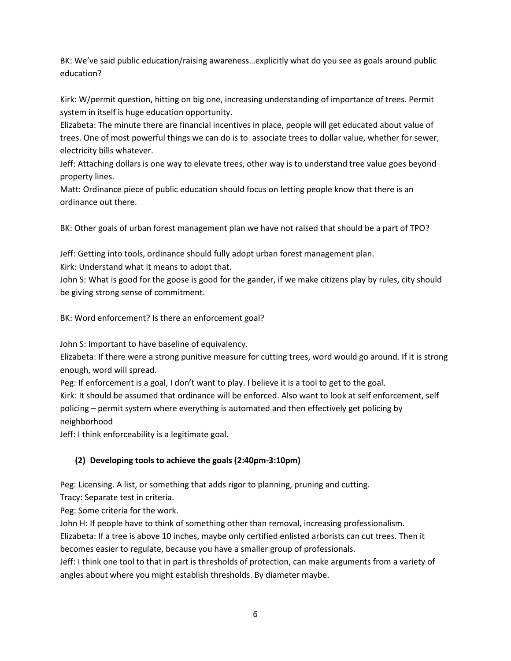BK: We've said public education/raising awareness…explicitly what do you see as goals around public education?

Kirk: W/permit question, hitting on big one, increasing understanding of importance of trees. Permit system in itself is huge education opportunity.

Elizabeta: The minute there are financial incentives in place, people will get educated about value of trees. One of most powerful things we can do is to associate trees to dollar value, whether for sewer, electricity bills whatever.

Jeff: Attaching dollars is one way to elevate trees, other way is to understand tree value goes beyond property lines.

Matt: Ordinance piece of public education should focus on letting people know that there is an ordinance out there.

BK: Other goals of urban forest management plan we have not raised that should be a part of TPO?

Jeff: Getting into tools, ordinance should fully adopt urban forest management plan.

Kirk: Understand what it means to adopt that.

John S: What is good for the goose is good for the gander, if we make citizens play by rules, city should be giving strong sense of commitment.

BK: Word enforcement? Is there an enforcement goal?

John S: Important to have baseline of equivalency.

Elizabeta: If there were a strong punitive measure for cutting trees, word would go around. If it is strong enough, word will spread.

Peg: If enforcement is a goal, I don't want to play. I believe it is a tool to get to the goal.

Kirk: It should be assumed that ordinance will be enforced. Also want to look at self enforcement, self policing – permit system where everything is automated and then effectively get policing by neighborhood

Jeff: I think enforceability is a legitimate goal.

## **(2) Developing tools to achieve the goals (2:40pm-3:10pm)**

Peg: Licensing. A list, or something that adds rigor to planning, pruning and cutting.

Tracy: Separate test in criteria.

Peg: Some criteria for the work.

John H: If people have to think of something other than removal, increasing professionalism. Elizabeta: If a tree is above 10 inches, maybe only certified enlisted arborists can cut trees. Then it becomes easier to regulate, because you have a smaller group of professionals. Jeff: I think one tool to that in part is thresholds of protection, can make arguments from a variety of

angles about where you might establish thresholds. By diameter maybe.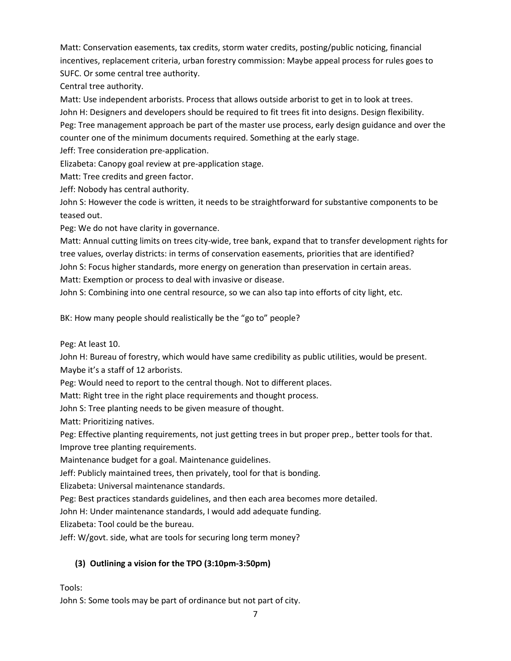Matt: Conservation easements, tax credits, storm water credits, posting/public noticing, financial incentives, replacement criteria, urban forestry commission: Maybe appeal process for rules goes to SUFC. Or some central tree authority.

Central tree authority.

Matt: Use independent arborists. Process that allows outside arborist to get in to look at trees. John H: Designers and developers should be required to fit trees fit into designs. Design flexibility. Peg: Tree management approach be part of the master use process, early design guidance and over the counter one of the minimum documents required. Something at the early stage.

Jeff: Tree consideration pre-application.

Elizabeta: Canopy goal review at pre-application stage.

Matt: Tree credits and green factor.

Jeff: Nobody has central authority.

John S: However the code is written, it needs to be straightforward for substantive components to be teased out.

Peg: We do not have clarity in governance.

Matt: Annual cutting limits on trees city-wide, tree bank, expand that to transfer development rights for tree values, overlay districts: in terms of conservation easements, priorities that are identified? John S: Focus higher standards, more energy on generation than preservation in certain areas.

Matt: Exemption or process to deal with invasive or disease.

John S: Combining into one central resource, so we can also tap into efforts of city light, etc.

BK: How many people should realistically be the "go to" people?

Peg: At least 10.

John H: Bureau of forestry, which would have same credibility as public utilities, would be present. Maybe it's a staff of 12 arborists.

Peg: Would need to report to the central though. Not to different places.

Matt: Right tree in the right place requirements and thought process.

John S: Tree planting needs to be given measure of thought.

Matt: Prioritizing natives.

Peg: Effective planting requirements, not just getting trees in but proper prep., better tools for that. Improve tree planting requirements.

Maintenance budget for a goal. Maintenance guidelines.

Jeff: Publicly maintained trees, then privately, tool for that is bonding.

Elizabeta: Universal maintenance standards.

Peg: Best practices standards guidelines, and then each area becomes more detailed.

John H: Under maintenance standards, I would add adequate funding.

Elizabeta: Tool could be the bureau.

Jeff: W/govt. side, what are tools for securing long term money?

## **(3) Outlining a vision for the TPO (3:10pm-3:50pm)**

Tools:

John S: Some tools may be part of ordinance but not part of city.